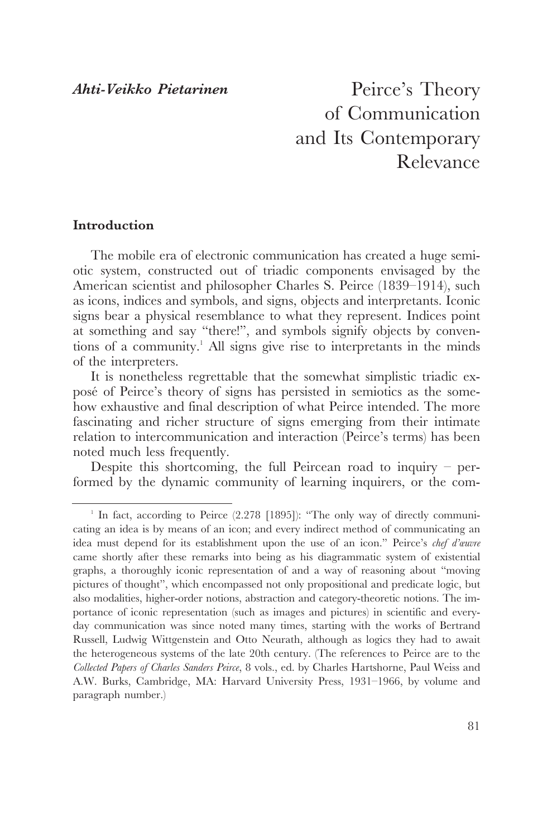## *Ahti-Veikko Pietarinen*

Peirce's Theory of Communication and Its Contemporary Relevance

# **Introduction**

The mobile era of electronic communication has created a huge semiotic system, constructed out of triadic components envisaged by the American scientist and philosopher Charles S. Peirce (1839–1914), such as icons, indices and symbols, and signs, objects and interpretants. Iconic signs bear a physical resemblance to what they represent. Indices point at something and say "there!", and symbols signify objects by conventions of a community.<sup>1</sup> All signs give rise to interpretants in the minds of the interpreters.

It is nonetheless regrettable that the somewhat simplistic triadic exposé of Peirce's theory of signs has persisted in semiotics as the somehow exhaustive and final description of what Peirce intended. The more fascinating and richer structure of signs emerging from their intimate relation to intercommunication and interaction (Peirce's terms) has been noted much less frequently.

Despite this shortcoming, the full Peircean road to inquiry  $-$  performed by the dynamic community of learning inquirers, or the com-

<sup>&</sup>lt;sup>1</sup> In fact, according to Peirce (2.278 [1895]): "The only way of directly communicating an idea is by means of an icon; and every indirect method of communicating an idea must depend for its establishment upon the use of an icon." Peirce's *chef d'œuvre* came shortly after these remarks into being as his diagrammatic system of existential graphs, a thoroughly iconic representation of and a way of reasoning about "moving pictures of thought", which encompassed not only propositional and predicate logic, but also modalities, higher-order notions, abstraction and category-theoretic notions. The importance of iconic representation (such as images and pictures) in scientific and everyday communication was since noted many times, starting with the works of Bertrand Russell, Ludwig Wittgenstein and Otto Neurath, although as logics they had to await the heterogeneous systems of the late 20th century. (The references to Peirce are to the *Collected Papers of Charles Sanders Peirce*, 8 vols., ed. by Charles Hartshorne, Paul Weiss and A.W. Burks, Cambridge, MA: Harvard University Press, 1931–1966, by volume and paragraph number.)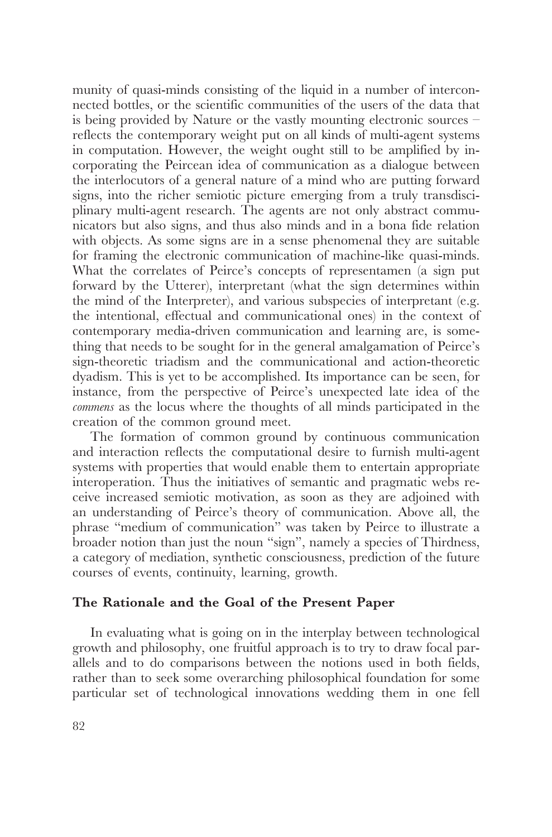munity of quasi-minds consisting of the liquid in a number of interconnected bottles, or the scientific communities of the users of the data that is being provided by Nature or the vastly mounting electronic sources – reflects the contemporary weight put on all kinds of multi-agent systems in computation. However, the weight ought still to be amplified by incorporating the Peircean idea of communication as a dialogue between the interlocutors of a general nature of a mind who are putting forward signs, into the richer semiotic picture emerging from a truly transdisciplinary multi-agent research. The agents are not only abstract communicators but also signs, and thus also minds and in a bona fide relation with objects. As some signs are in a sense phenomenal they are suitable for framing the electronic communication of machine-like quasi-minds. What the correlates of Peirce's concepts of representamen (a sign put forward by the Utterer), interpretant (what the sign determines within the mind of the Interpreter), and various subspecies of interpretant (e.g. the intentional, effectual and communicational ones) in the context of contemporary media-driven communication and learning are, is something that needs to be sought for in the general amalgamation of Peirce's sign-theoretic triadism and the communicational and action-theoretic dyadism. This is yet to be accomplished. Its importance can be seen, for instance, from the perspective of Peirce's unexpected late idea of the *commens* as the locus where the thoughts of all minds participated in the creation of the common ground meet.

The formation of common ground by continuous communication and interaction reflects the computational desire to furnish multi-agent systems with properties that would enable them to entertain appropriate interoperation. Thus the initiatives of semantic and pragmatic webs receive increased semiotic motivation, as soon as they are adjoined with an understanding of Peirce's theory of communication. Above all, the phrase "medium of communication" was taken by Peirce to illustrate a broader notion than just the noun "sign", namely a species of Thirdness, a category of mediation, synthetic consciousness, prediction of the future courses of events, continuity, learning, growth.

## **The Rationale and the Goal of the Present Paper**

In evaluating what is going on in the interplay between technological growth and philosophy, one fruitful approach is to try to draw focal parallels and to do comparisons between the notions used in both fields, rather than to seek some overarching philosophical foundation for some particular set of technological innovations wedding them in one fell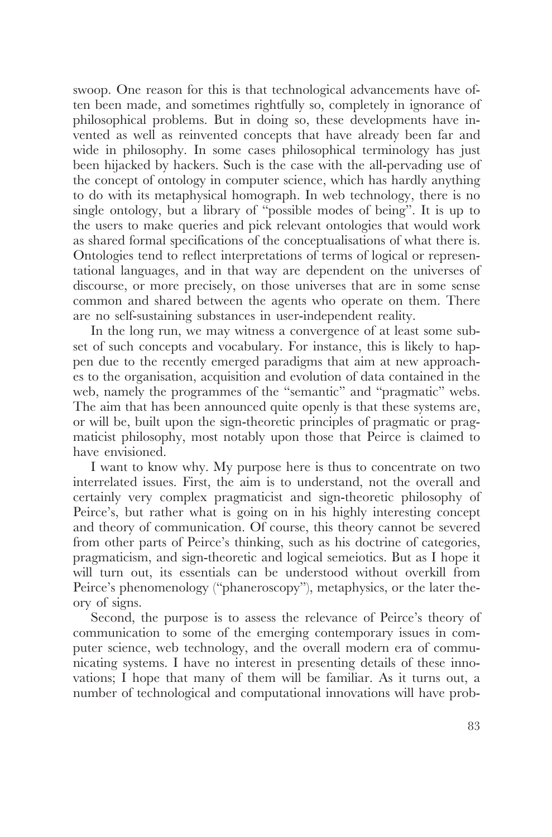swoop. One reason for this is that technological advancements have often been made, and sometimes rightfully so, completely in ignorance of philosophical problems. But in doing so, these developments have invented as well as reinvented concepts that have already been far and wide in philosophy. In some cases philosophical terminology has just been hijacked by hackers. Such is the case with the all-pervading use of the concept of ontology in computer science, which has hardly anything to do with its metaphysical homograph. In web technology, there is no single ontology, but a library of "possible modes of being". It is up to the users to make queries and pick relevant ontologies that would work as shared formal specifications of the conceptualisations of what there is. Ontologies tend to reflect interpretations of terms of logical or representational languages, and in that way are dependent on the universes of discourse, or more precisely, on those universes that are in some sense common and shared between the agents who operate on them. There are no self-sustaining substances in user-independent reality.

In the long run, we may witness a convergence of at least some subset of such concepts and vocabulary. For instance, this is likely to happen due to the recently emerged paradigms that aim at new approaches to the organisation, acquisition and evolution of data contained in the web, namely the programmes of the "semantic" and "pragmatic" webs. The aim that has been announced quite openly is that these systems are, or will be, built upon the sign-theoretic principles of pragmatic or pragmaticist philosophy, most notably upon those that Peirce is claimed to have envisioned.

I want to know why. My purpose here is thus to concentrate on two interrelated issues. First, the aim is to understand, not the overall and certainly very complex pragmaticist and sign-theoretic philosophy of Peirce's, but rather what is going on in his highly interesting concept and theory of communication. Of course, this theory cannot be severed from other parts of Peirce's thinking, such as his doctrine of categories, pragmaticism, and sign-theoretic and logical semeiotics. But as I hope it will turn out, its essentials can be understood without overkill from Peirce's phenomenology ("phaneroscopy"), metaphysics, or the later theory of signs.

Second, the purpose is to assess the relevance of Peirce's theory of communication to some of the emerging contemporary issues in computer science, web technology, and the overall modern era of communicating systems. I have no interest in presenting details of these innovations; I hope that many of them will be familiar. As it turns out, a number of technological and computational innovations will have prob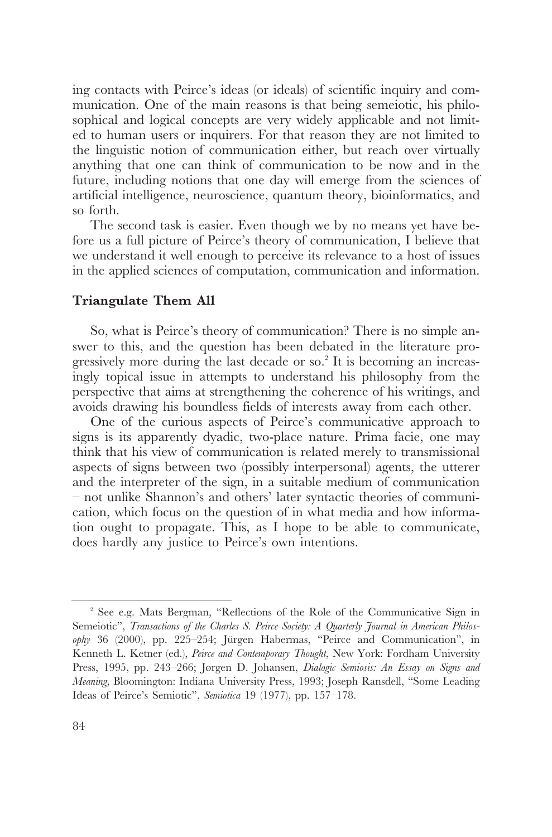ing contacts with Peirce's ideas (or ideals) of scientific inquiry and communication. One of the main reasons is that being semeiotic, his philosophical and logical concepts are very widely applicable and not limited to human users or inquirers. For that reason they are not limited to the linguistic notion of communication either, but reach over virtually anything that one can think of communication to be now and in the future, including notions that one day will emerge from the sciences of artificial intelligence, neuroscience, quantum theory, bioinformatics, and so forth.

The second task is easier. Even though we by no means yet have before us a full picture of Peirce's theory of communication, I believe that we understand it well enough to perceive its relevance to a host of issues in the applied sciences of computation, communication and information.

#### **Triangulate Them All**

So, what is Peirce's theory of communication? There is no simple answer to this, and the question has been debated in the literature progressively more during the last decade or so.2 It is becoming an increasingly topical issue in attempts to understand his philosophy from the perspective that aims at strengthening the coherence of his writings, and avoids drawing his boundless fields of interests away from each other.

One of the curious aspects of Peirce's communicative approach to signs is its apparently dyadic, two-place nature. Prima facie, one may think that his view of communication is related merely to transmissional aspects of signs between two (possibly interpersonal) agents, the utterer and the interpreter of the sign, in a suitable medium of communication – not unlike Shannon's and others' later syntactic theories of communication, which focus on the question of in what media and how information ought to propagate. This, as I hope to be able to communicate, does hardly any justice to Peirce's own intentions.

<sup>2</sup> See e.g. Mats Bergman, "Reflections of the Role of the Communicative Sign in Semeiotic", *Transactions of the Charles S. Peirce Society: A Quarterly Journal in American Philosophy* 36 (2000), pp. 225–254; Jürgen Habermas, "Peirce and Communication", in Kenneth L. Ketner (ed.), *Peirce and Contemporary Thought*, New York: Fordham University Press, 1995, pp. 243–266; Jørgen D. Johansen, *Dialogic Semiosis: An Essay on Signs and Meaning*, Bloomington: Indiana University Press, 1993; Joseph Ransdell, "Some Leading Ideas of Peirce's Semiotic", *Semiotica* 19 (1977), pp. 157–178.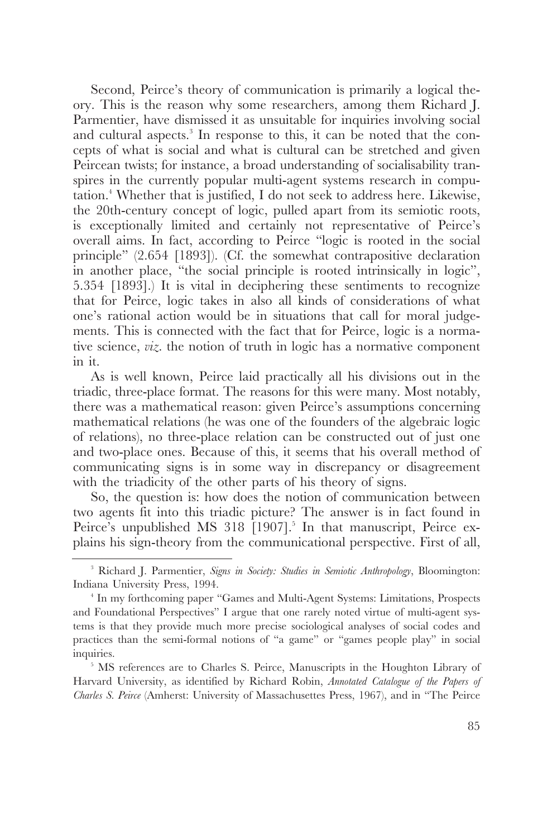Second, Peirce's theory of communication is primarily a logical theory. This is the reason why some researchers, among them Richard J. Parmentier, have dismissed it as unsuitable for inquiries involving social and cultural aspects.<sup>3</sup> In response to this, it can be noted that the concepts of what is social and what is cultural can be stretched and given Peircean twists; for instance, a broad understanding of socialisability transpires in the currently popular multi-agent systems research in computation.<sup>4</sup> Whether that is justified, I do not seek to address here. Likewise, the 20th-century concept of logic, pulled apart from its semiotic roots, is exceptionally limited and certainly not representative of Peirce's overall aims. In fact, according to Peirce "logic is rooted in the social principle" (2.654 [1893]). (Cf. the somewhat contrapositive declaration in another place, "the social principle is rooted intrinsically in logic", 5.354 [1893].) It is vital in deciphering these sentiments to recognize that for Peirce, logic takes in also all kinds of considerations of what one's rational action would be in situations that call for moral judgements. This is connected with the fact that for Peirce, logic is a normative science, *viz*. the notion of truth in logic has a normative component in it.

As is well known, Peirce laid practically all his divisions out in the triadic, three-place format. The reasons for this were many. Most notably, there was a mathematical reason: given Peirce's assumptions concerning mathematical relations (he was one of the founders of the algebraic logic of relations), no three-place relation can be constructed out of just one and two-place ones. Because of this, it seems that his overall method of communicating signs is in some way in discrepancy or disagreement with the triadicity of the other parts of his theory of signs.

So, the question is: how does the notion of communication between two agents fit into this triadic picture? The answer is in fact found in Peirce's unpublished MS 318 [1907].<sup>5</sup> In that manuscript, Peirce explains his sign-theory from the communicational perspective. First of all,

<sup>3</sup> Richard J. Parmentier, *Signs in Society: Studies in Semiotic Anthropology*, Bloomington: Indiana University Press, 1994.<br>
<sup>4</sup> In my forthcoming paper "Games and Multi-Agent Systems: Limitations, Prospects

and Foundational Perspectives" I argue that one rarely noted virtue of multi-agent systems is that they provide much more precise sociological analyses of social codes and practices than the semi-formal notions of "a game" or "games people play" in social inquiries.

<sup>&</sup>lt;sup>5</sup> MS references are to Charles S. Peirce, Manuscripts in the Houghton Library of Harvard University, as identified by Richard Robin, *Annotated Catalogue of the Papers of Charles S. Peirce* (Amherst: University of Massachusettes Press, 1967), and in "The Peirce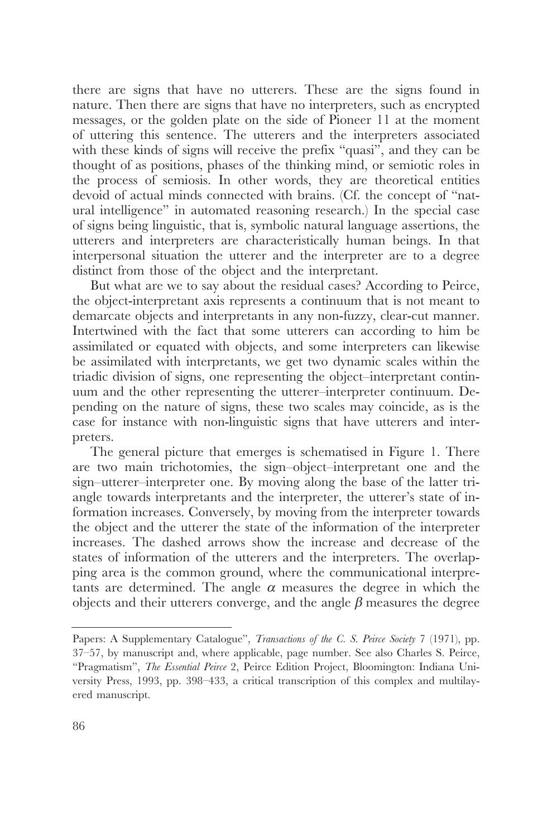there are signs that have no utterers. These are the signs found in nature. Then there are signs that have no interpreters, such as encrypted messages, or the golden plate on the side of Pioneer 11 at the moment of uttering this sentence. The utterers and the interpreters associated with these kinds of signs will receive the prefix "quasi", and they can be thought of as positions, phases of the thinking mind, or semiotic roles in the process of semiosis. In other words, they are theoretical entities devoid of actual minds connected with brains. (Cf. the concept of "natural intelligence" in automated reasoning research.) In the special case of signs being linguistic, that is, symbolic natural language assertions, the utterers and interpreters are characteristically human beings. In that interpersonal situation the utterer and the interpreter are to a degree distinct from those of the object and the interpretant.

But what are we to say about the residual cases? According to Peirce, the object-interpretant axis represents a continuum that is not meant to demarcate objects and interpretants in any non-fuzzy, clear-cut manner. Intertwined with the fact that some utterers can according to him be assimilated or equated with objects, and some interpreters can likewise be assimilated with interpretants, we get two dynamic scales within the triadic division of signs, one representing the object–interpretant continuum and the other representing the utterer–interpreter continuum. Depending on the nature of signs, these two scales may coincide, as is the case for instance with non-linguistic signs that have utterers and interpreters.

The general picture that emerges is schematised in Figure 1. There are two main trichotomies, the sign–object–interpretant one and the sign–utterer–interpreter one. By moving along the base of the latter triangle towards interpretants and the interpreter, the utterer's state of information increases. Conversely, by moving from the interpreter towards the object and the utterer the state of the information of the interpreter increases. The dashed arrows show the increase and decrease of the states of information of the utterers and the interpreters. The overlapping area is the common ground, where the communicational interpretants are determined. The angle  $\alpha$  measures the degree in which the objects and their utterers converge, and the angle  $\beta$  measures the degree

Papers: A Supplementary Catalogue", *Transactions of the C. S. Peirce Society* 7 (1971), pp. 37–57, by manuscript and, where applicable, page number. See also Charles S. Peirce, "Pragmatism", *The Essential Peirce* 2, Peirce Edition Project, Bloomington: Indiana University Press, 1993, pp. 398–433, a critical transcription of this complex and multilayered manuscript.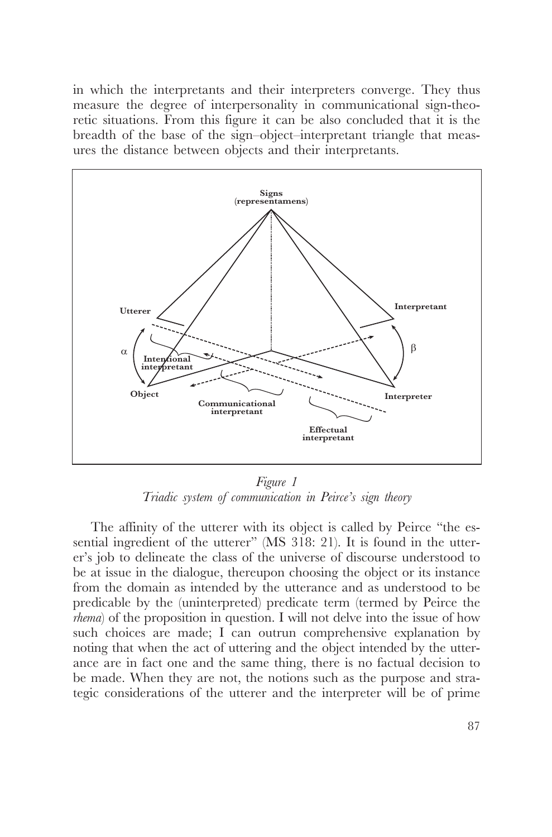in which the interpretants and their interpreters converge. They thus measure the degree of interpersonality in communicational sign-theoretic situations. From this figure it can be also concluded that it is the breadth of the base of the sign–object–interpretant triangle that measures the distance between objects and their interpretants.



*Figure 1 Triadic system of communication in Peirce's sign theory*

The affinity of the utterer with its object is called by Peirce "the essential ingredient of the utterer" (MS 318: 21). It is found in the utterer's job to delineate the class of the universe of discourse understood to be at issue in the dialogue, thereupon choosing the object or its instance from the domain as intended by the utterance and as understood to be predicable by the (uninterpreted) predicate term (termed by Peirce the *rhema*) of the proposition in question. I will not delve into the issue of how such choices are made; I can outrun comprehensive explanation by noting that when the act of uttering and the object intended by the utterance are in fact one and the same thing, there is no factual decision to be made. When they are not, the notions such as the purpose and strategic considerations of the utterer and the interpreter will be of prime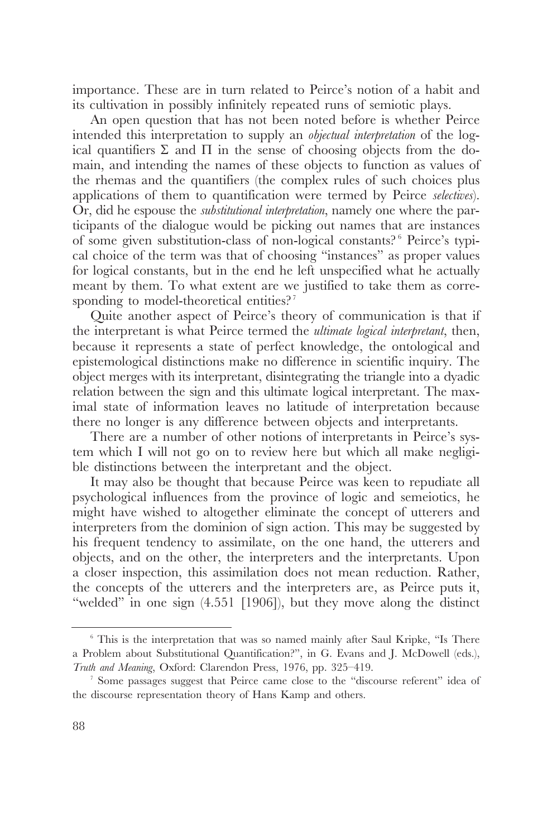importance. These are in turn related to Peirce's notion of a habit and its cultivation in possibly infinitely repeated runs of semiotic plays.

An open question that has not been noted before is whether Peirce intended this interpretation to supply an *objectual interpretation* of the logical quantifiers  $\Sigma$  and  $\Pi$  in the sense of choosing objects from the domain, and intending the names of these objects to function as values of the rhemas and the quantifiers (the complex rules of such choices plus applications of them to quantification were termed by Peirce *selectives*). Or, did he espouse the *substitutional interpretation*, namely one where the participants of the dialogue would be picking out names that are instances of some given substitution-class of non-logical constants?<sup>6</sup> Peirce's typical choice of the term was that of choosing "instances" as proper values for logical constants, but in the end he left unspecified what he actually meant by them. To what extent are we justified to take them as corresponding to model-theoretical entities?<sup>7</sup>

Quite another aspect of Peirce's theory of communication is that if the interpretant is what Peirce termed the *ultimate logical interpretant*, then, because it represents a state of perfect knowledge, the ontological and epistemological distinctions make no difference in scientific inquiry. The object merges with its interpretant, disintegrating the triangle into a dyadic relation between the sign and this ultimate logical interpretant. The maximal state of information leaves no latitude of interpretation because there no longer is any difference between objects and interpretants.

There are a number of other notions of interpretants in Peirce's system which I will not go on to review here but which all make negligible distinctions between the interpretant and the object.

It may also be thought that because Peirce was keen to repudiate all psychological influences from the province of logic and semeiotics, he might have wished to altogether eliminate the concept of utterers and interpreters from the dominion of sign action. This may be suggested by his frequent tendency to assimilate, on the one hand, the utterers and objects, and on the other, the interpreters and the interpretants. Upon a closer inspection, this assimilation does not mean reduction. Rather, the concepts of the utterers and the interpreters are, as Peirce puts it, "welded" in one sign (4.551 [1906]), but they move along the distinct

<sup>&</sup>lt;sup>6</sup> This is the interpretation that was so named mainly after Saul Kripke, "Is There a Problem about Substitutional Quantification?", in G. Evans and J. McDowell (eds.), *Truth and Meaning*, Oxford: Clarendon Press, 1976, pp. 325–419.

<sup>7</sup> Some passages suggest that Peirce came close to the "discourse referent" idea of the discourse representation theory of Hans Kamp and others.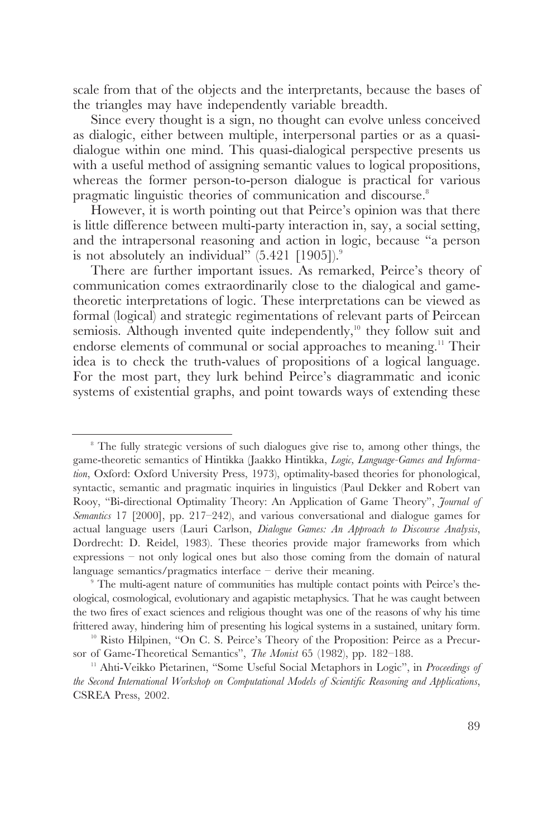scale from that of the objects and the interpretants, because the bases of the triangles may have independently variable breadth.

Since every thought is a sign, no thought can evolve unless conceived as dialogic, either between multiple, interpersonal parties or as a quasidialogue within one mind. This quasi-dialogical perspective presents us with a useful method of assigning semantic values to logical propositions, whereas the former person-to-person dialogue is practical for various pragmatic linguistic theories of communication and discourse.<sup>8</sup>

However, it is worth pointing out that Peirce's opinion was that there is little difference between multi-party interaction in, say, a social setting, and the intrapersonal reasoning and action in logic, because "a person is not absolutely an individual"  $(5.421 \; [1905])$ .<sup>9</sup>

There are further important issues. As remarked, Peirce's theory of communication comes extraordinarily close to the dialogical and gametheoretic interpretations of logic. These interpretations can be viewed as formal (logical) and strategic regimentations of relevant parts of Peircean semiosis. Although invented quite independently,<sup>10</sup> they follow suit and endorse elements of communal or social approaches to meaning.<sup>11</sup> Their idea is to check the truth-values of propositions of a logical language. For the most part, they lurk behind Peirce's diagrammatic and iconic systems of existential graphs, and point towards ways of extending these

<sup>&</sup>lt;sup>8</sup> The fully strategic versions of such dialogues give rise to, among other things, the game-theoretic semantics of Hintikka (Jaakko Hintikka, *Logic, Language-Games and Information*, Oxford: Oxford University Press, 1973), optimality-based theories for phonological, syntactic, semantic and pragmatic inquiries in linguistics (Paul Dekker and Robert van Rooy, "Bi-directional Optimality Theory: An Application of Game Theory", *Journal of Semantics* 17 [2000], pp. 217–242), and various conversational and dialogue games for actual language users (Lauri Carlson, *Dialogue Games: An Approach to Discourse Analysis*, Dordrecht: D. Reidel, 1983). These theories provide major frameworks from which expressions – not only logical ones but also those coming from the domain of natural language semantics/pragmatics interface – derive their meaning.

<sup>9</sup> The multi-agent nature of communities has multiple contact points with Peirce's theological, cosmological, evolutionary and agapistic metaphysics. That he was caught between the two fires of exact sciences and religious thought was one of the reasons of why his time frittered away, hindering him of presenting his logical systems in a sustained, unitary form.

<sup>&</sup>lt;sup>10</sup> Risto Hilpinen, "On C. S. Peirce's Theory of the Proposition: Peirce as a Precursor of Game-Theoretical Semantics", *The Monist* 65 (1982), pp. 182–188.

<sup>&</sup>lt;sup>11</sup> Ahti-Veikko Pietarinen, "Some Useful Social Metaphors in Logic", in *Proceedings of the Second International Workshop on Computational Models of Scientific Reasoning and Applications*, CSREA Press, 2002.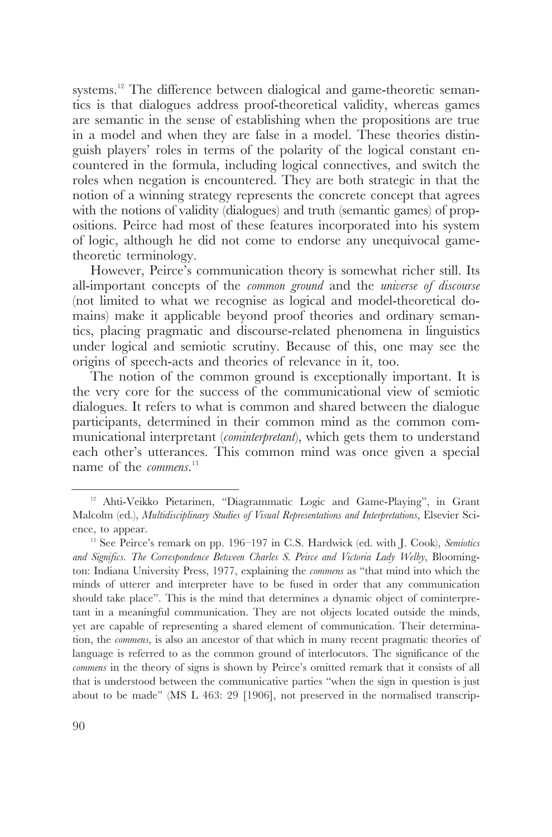systems.<sup>12</sup> The difference between dialogical and game-theoretic semantics is that dialogues address proof-theoretical validity, whereas games are semantic in the sense of establishing when the propositions are true in a model and when they are false in a model. These theories distinguish players' roles in terms of the polarity of the logical constant encountered in the formula, including logical connectives, and switch the roles when negation is encountered. They are both strategic in that the notion of a winning strategy represents the concrete concept that agrees with the notions of validity (dialogues) and truth (semantic games) of propositions. Peirce had most of these features incorporated into his system of logic, although he did not come to endorse any unequivocal gametheoretic terminology.

However, Peirce's communication theory is somewhat richer still. Its all-important concepts of the *common ground* and the *universe of discourse* (not limited to what we recognise as logical and model-theoretical domains) make it applicable beyond proof theories and ordinary semantics, placing pragmatic and discourse-related phenomena in linguistics under logical and semiotic scrutiny. Because of this, one may see the origins of speech-acts and theories of relevance in it, too.

The notion of the common ground is exceptionally important. It is the very core for the success of the communicational view of semiotic dialogues. It refers to what is common and shared between the dialogue participants, determined in their common mind as the common communicational interpretant (*cominterpretant*), which gets them to understand each other's utterances. This common mind was once given a special name of the *commens*. 13

<sup>12</sup> Ahti-Veikko Pietarinen, "Diagrammatic Logic and Game-Playing", in Grant Malcolm (ed.), *Multidisciplinary Studies of Visual Representations and Interpretations*, Elsevier Science, to appear.

<sup>13</sup> See Peirce's remark on pp. 196–197 in C.S. Hardwick (ed. with J. Cook), *Semiotics and Significs. The Correspondence Between Charles S. Peirce and Victoria Lady Welby*, Bloomington: Indiana University Press, 1977, explaining the *commens* as "that mind into which the minds of utterer and interpreter have to be fused in order that any communication should take place". This is the mind that determines a dynamic object of cominterpretant in a meaningful communication. They are not objects located outside the minds, yet are capable of representing a shared element of communication. Their determination, the *commens*, is also an ancestor of that which in many recent pragmatic theories of language is referred to as the common ground of interlocutors. The significance of the *commens* in the theory of signs is shown by Peirce's omitted remark that it consists of all that is understood between the communicative parties "when the sign in question is just about to be made" (MS L 463: 29 [1906], not preserved in the normalised transcrip-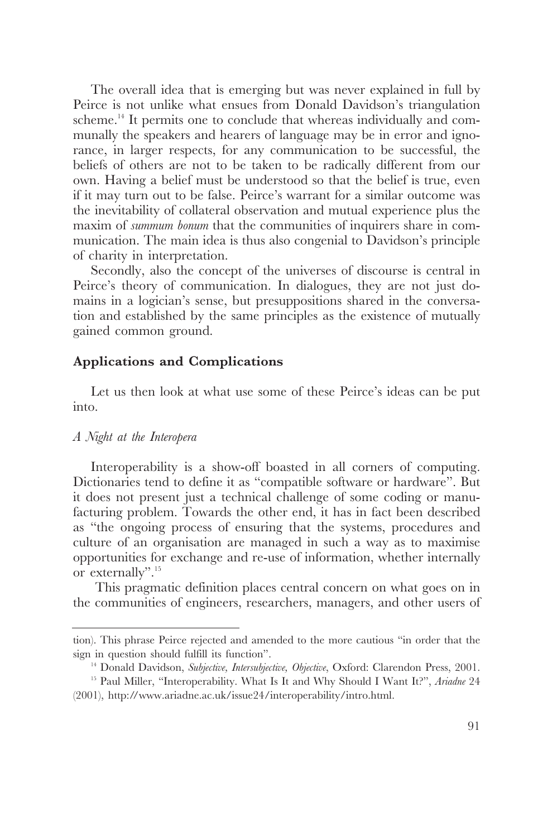The overall idea that is emerging but was never explained in full by Peirce is not unlike what ensues from Donald Davidson's triangulation scheme.<sup>14</sup> It permits one to conclude that whereas individually and communally the speakers and hearers of language may be in error and ignorance, in larger respects, for any communication to be successful, the beliefs of others are not to be taken to be radically different from our own. Having a belief must be understood so that the belief is true, even if it may turn out to be false. Peirce's warrant for a similar outcome was the inevitability of collateral observation and mutual experience plus the maxim of *summum bonum* that the communities of inquirers share in communication. The main idea is thus also congenial to Davidson's principle of charity in interpretation.

Secondly, also the concept of the universes of discourse is central in Peirce's theory of communication. In dialogues, they are not just domains in a logician's sense, but presuppositions shared in the conversation and established by the same principles as the existence of mutually gained common ground.

## **Applications and Complications**

Let us then look at what use some of these Peirce's ideas can be put into.

#### *A Night at the Interopera*

Interoperability is a show-off boasted in all corners of computing. Dictionaries tend to define it as "compatible software or hardware". But it does not present just a technical challenge of some coding or manufacturing problem. Towards the other end, it has in fact been described as "the ongoing process of ensuring that the systems, procedures and culture of an organisation are managed in such a way as to maximise opportunities for exchange and re-use of information, whether internally or externally".<sup>15</sup>

This pragmatic definition places central concern on what goes on in the communities of engineers, researchers, managers, and other users of

tion). This phrase Peirce rejected and amended to the more cautious "in order that the sign in question should fulfill its function". 14 Donald Davidson, *Subjective, Intersubjective, Objective*, Oxford: Clarendon Press, 2001.

<sup>15</sup> Paul Miller, "Interoperability. What Is It and Why Should I Want It?", *Ariadne* 24 (2001), http://www.ariadne.ac.uk/issue24/interoperability/intro.html.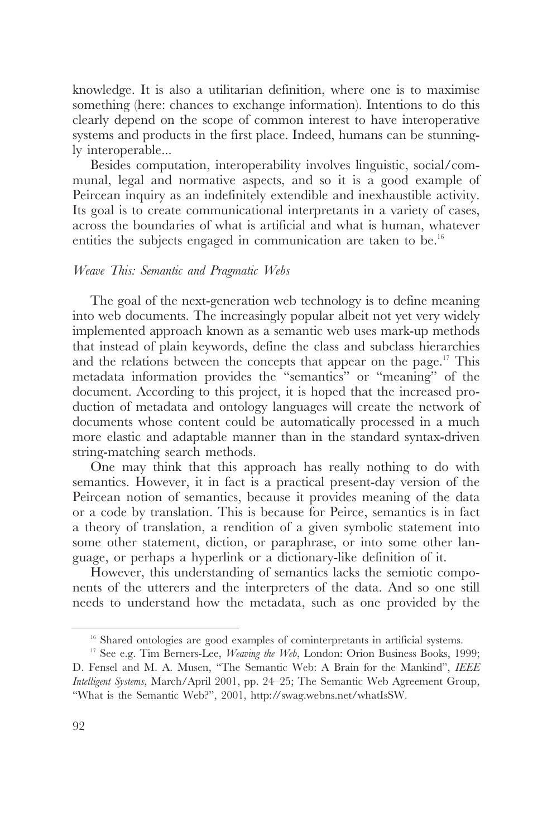knowledge. It is also a utilitarian definition, where one is to maximise something (here: chances to exchange information). Intentions to do this clearly depend on the scope of common interest to have interoperative systems and products in the first place. Indeed, humans can be stunningly interoperable...

Besides computation, interoperability involves linguistic, social/communal, legal and normative aspects, and so it is a good example of Peircean inquiry as an indefinitely extendible and inexhaustible activity. Its goal is to create communicational interpretants in a variety of cases, across the boundaries of what is artificial and what is human, whatever entities the subjects engaged in communication are taken to be.<sup>16</sup>

#### *Weave This: Semantic and Pragmatic Webs*

The goal of the next-generation web technology is to define meaning into web documents. The increasingly popular albeit not yet very widely implemented approach known as a semantic web uses mark-up methods that instead of plain keywords, define the class and subclass hierarchies and the relations between the concepts that appear on the page.<sup>17</sup> This metadata information provides the "semantics" or "meaning" of the document. According to this project, it is hoped that the increased production of metadata and ontology languages will create the network of documents whose content could be automatically processed in a much more elastic and adaptable manner than in the standard syntax-driven string-matching search methods.

One may think that this approach has really nothing to do with semantics. However, it in fact is a practical present-day version of the Peircean notion of semantics, because it provides meaning of the data or a code by translation. This is because for Peirce, semantics is in fact a theory of translation, a rendition of a given symbolic statement into some other statement, diction, or paraphrase, or into some other language, or perhaps a hyperlink or a dictionary-like definition of it.

However, this understanding of semantics lacks the semiotic components of the utterers and the interpreters of the data. And so one still needs to understand how the metadata, such as one provided by the

<sup>&</sup>lt;sup>16</sup> Shared ontologies are good examples of cominterpretants in artificial systems.

<sup>&</sup>lt;sup>17</sup> See e.g. Tim Berners-Lee, *Weaving the Web*, London: Orion Business Books, 1999; D. Fensel and M. A. Musen, "The Semantic Web: A Brain for the Mankind", *IEEE Intelligent Systems*, March/April 2001, pp. 24–25; The Semantic Web Agreement Group, "What is the Semantic Web?", 2001, http://swag.webns.net/whatIsSW.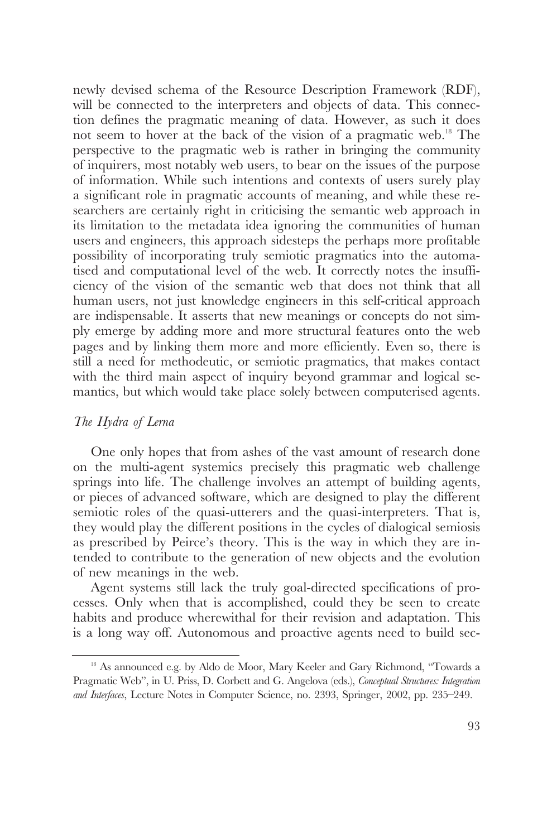newly devised schema of the Resource Description Framework (RDF), will be connected to the interpreters and objects of data. This connection defines the pragmatic meaning of data. However, as such it does not seem to hover at the back of the vision of a pragmatic web.<sup>18</sup> The perspective to the pragmatic web is rather in bringing the community of inquirers, most notably web users, to bear on the issues of the purpose of information. While such intentions and contexts of users surely play a significant role in pragmatic accounts of meaning, and while these researchers are certainly right in criticising the semantic web approach in its limitation to the metadata idea ignoring the communities of human users and engineers, this approach sidesteps the perhaps more profitable possibility of incorporating truly semiotic pragmatics into the automatised and computational level of the web. It correctly notes the insufficiency of the vision of the semantic web that does not think that all human users, not just knowledge engineers in this self-critical approach are indispensable. It asserts that new meanings or concepts do not simply emerge by adding more and more structural features onto the web pages and by linking them more and more efficiently. Even so, there is still a need for methodeutic, or semiotic pragmatics, that makes contact with the third main aspect of inquiry beyond grammar and logical semantics, but which would take place solely between computerised agents.

## *The Hydra of Lerna*

One only hopes that from ashes of the vast amount of research done on the multi-agent systemics precisely this pragmatic web challenge springs into life. The challenge involves an attempt of building agents, or pieces of advanced software, which are designed to play the different semiotic roles of the quasi-utterers and the quasi-interpreters. That is, they would play the different positions in the cycles of dialogical semiosis as prescribed by Peirce's theory. This is the way in which they are intended to contribute to the generation of new objects and the evolution of new meanings in the web.

Agent systems still lack the truly goal-directed specifications of processes. Only when that is accomplished, could they be seen to create habits and produce wherewithal for their revision and adaptation. This is a long way off. Autonomous and proactive agents need to build sec-

<sup>&</sup>lt;sup>18</sup> As announced e.g. by Aldo de Moor, Mary Keeler and Gary Richmond, "Towards a Pragmatic Web", in U. Priss, D. Corbett and G. Angelova (eds.), *Conceptual Structures: Integration and Interfaces*, Lecture Notes in Computer Science, no. 2393, Springer, 2002, pp. 235–249.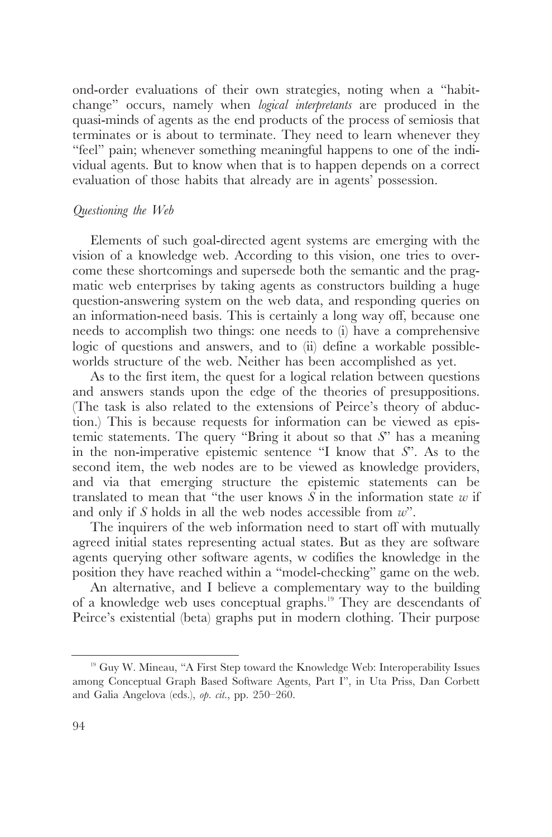ond-order evaluations of their own strategies, noting when a "habitchange" occurs, namely when *logical interpretants* are produced in the quasi-minds of agents as the end products of the process of semiosis that terminates or is about to terminate. They need to learn whenever they "feel" pain; whenever something meaningful happens to one of the individual agents. But to know when that is to happen depends on a correct evaluation of those habits that already are in agents' possession.

## *Questioning the Web*

Elements of such goal-directed agent systems are emerging with the vision of a knowledge web. According to this vision, one tries to overcome these shortcomings and supersede both the semantic and the pragmatic web enterprises by taking agents as constructors building a huge question-answering system on the web data, and responding queries on an information-need basis. This is certainly a long way off, because one needs to accomplish two things: one needs to (i) have a comprehensive logic of questions and answers, and to (ii) define a workable possibleworlds structure of the web. Neither has been accomplished as yet.

As to the first item, the quest for a logical relation between questions and answers stands upon the edge of the theories of presuppositions. (The task is also related to the extensions of Peirce's theory of abduction.) This is because requests for information can be viewed as epistemic statements. The query "Bring it about so that *S*" has a meaning in the non-imperative epistemic sentence "I know that *S*". As to the second item, the web nodes are to be viewed as knowledge providers, and via that emerging structure the epistemic statements can be translated to mean that "the user knows *S* in the information state *w* if and only if *S* holds in all the web nodes accessible from *w*".

The inquirers of the web information need to start off with mutually agreed initial states representing actual states. But as they are software agents querying other software agents, w codifies the knowledge in the position they have reached within a "model-checking" game on the web.

An alternative, and I believe a complementary way to the building of a knowledge web uses conceptual graphs.19 They are descendants of Peirce's existential (beta) graphs put in modern clothing. Their purpose

<sup>&</sup>lt;sup>19</sup> Guy W. Mineau, "A First Step toward the Knowledge Web: Interoperability Issues among Conceptual Graph Based Software Agents, Part I", in Uta Priss, Dan Corbett and Galia Angelova (eds.), *op. cit*., pp. 250–260.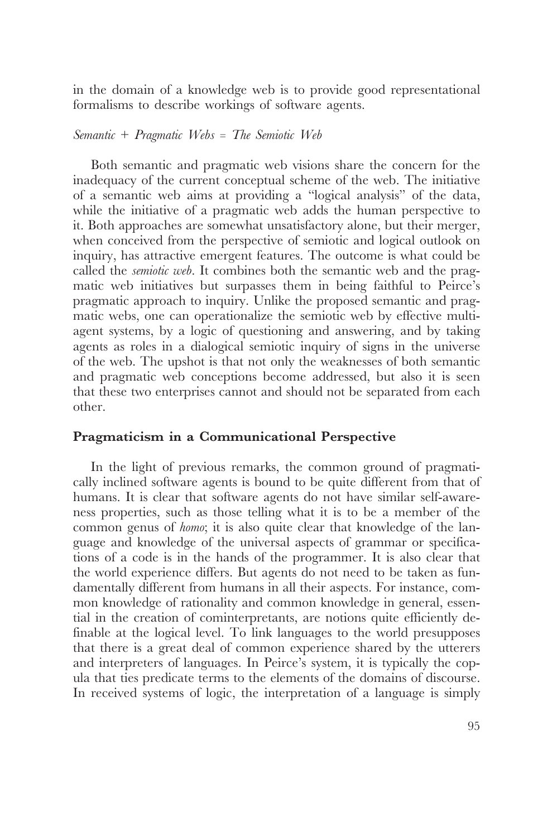in the domain of a knowledge web is to provide good representational formalisms to describe workings of software agents.

*Semantic + Pragmatic Webs = The Semiotic Web*

Both semantic and pragmatic web visions share the concern for the inadequacy of the current conceptual scheme of the web. The initiative of a semantic web aims at providing a "logical analysis" of the data, while the initiative of a pragmatic web adds the human perspective to it. Both approaches are somewhat unsatisfactory alone, but their merger, when conceived from the perspective of semiotic and logical outlook on inquiry, has attractive emergent features. The outcome is what could be called the *semiotic web*. It combines both the semantic web and the pragmatic web initiatives but surpasses them in being faithful to Peirce's pragmatic approach to inquiry. Unlike the proposed semantic and pragmatic webs, one can operationalize the semiotic web by effective multiagent systems, by a logic of questioning and answering, and by taking agents as roles in a dialogical semiotic inquiry of signs in the universe of the web. The upshot is that not only the weaknesses of both semantic and pragmatic web conceptions become addressed, but also it is seen that these two enterprises cannot and should not be separated from each other.

## **Pragmaticism in a Communicational Perspective**

In the light of previous remarks, the common ground of pragmatically inclined software agents is bound to be quite different from that of humans. It is clear that software agents do not have similar self-awareness properties, such as those telling what it is to be a member of the common genus of *homo*; it is also quite clear that knowledge of the language and knowledge of the universal aspects of grammar or specifications of a code is in the hands of the programmer. It is also clear that the world experience differs. But agents do not need to be taken as fundamentally different from humans in all their aspects. For instance, common knowledge of rationality and common knowledge in general, essential in the creation of cominterpretants, are notions quite efficiently definable at the logical level. To link languages to the world presupposes that there is a great deal of common experience shared by the utterers and interpreters of languages. In Peirce's system, it is typically the copula that ties predicate terms to the elements of the domains of discourse. In received systems of logic, the interpretation of a language is simply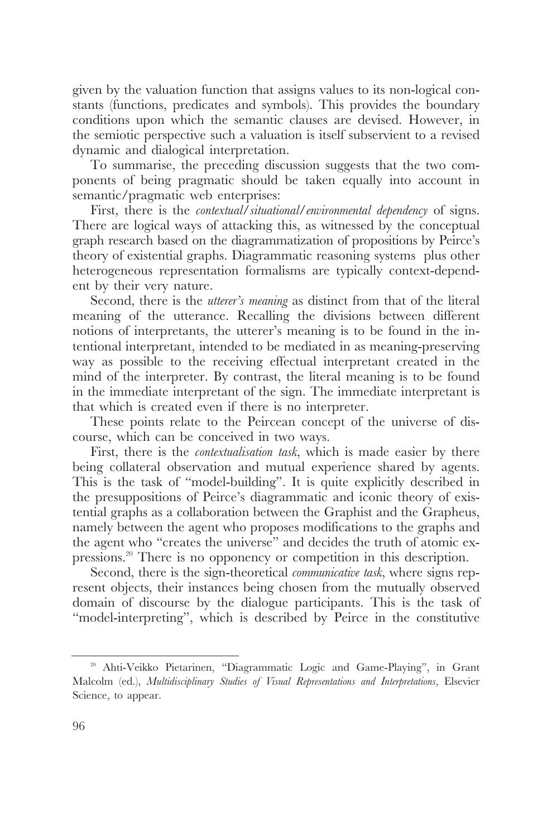given by the valuation function that assigns values to its non-logical constants (functions, predicates and symbols). This provides the boundary conditions upon which the semantic clauses are devised. However, in the semiotic perspective such a valuation is itself subservient to a revised dynamic and dialogical interpretation.

To summarise, the preceding discussion suggests that the two components of being pragmatic should be taken equally into account in semantic/pragmatic web enterprises:

First, there is the *contextual/situational/environmental dependency* of signs. There are logical ways of attacking this, as witnessed by the conceptual graph research based on the diagrammatization of propositions by Peirce's theory of existential graphs. Diagrammatic reasoning systems plus other heterogeneous representation formalisms are typically context-dependent by their very nature.

Second, there is the *utterer's meaning* as distinct from that of the literal meaning of the utterance. Recalling the divisions between different notions of interpretants, the utterer's meaning is to be found in the intentional interpretant, intended to be mediated in as meaning-preserving way as possible to the receiving effectual interpretant created in the mind of the interpreter. By contrast, the literal meaning is to be found in the immediate interpretant of the sign. The immediate interpretant is that which is created even if there is no interpreter.

These points relate to the Peircean concept of the universe of discourse, which can be conceived in two ways.

First, there is the *contextualisation task*, which is made easier by there being collateral observation and mutual experience shared by agents. This is the task of "model-building". It is quite explicitly described in the presuppositions of Peirce's diagrammatic and iconic theory of existential graphs as a collaboration between the Graphist and the Grapheus, namely between the agent who proposes modifications to the graphs and the agent who "creates the universe" and decides the truth of atomic expressions.20 There is no opponency or competition in this description.

Second, there is the sign-theoretical *communicative task*, where signs represent objects, their instances being chosen from the mutually observed domain of discourse by the dialogue participants. This is the task of "model-interpreting", which is described by Peirce in the constitutive

<sup>20</sup> Ahti-Veikko Pietarinen, "Diagrammatic Logic and Game-Playing", in Grant Malcolm (ed.), *Multidisciplinary Studies of Visual Representations and Interpretations*, Elsevier Science, to appear.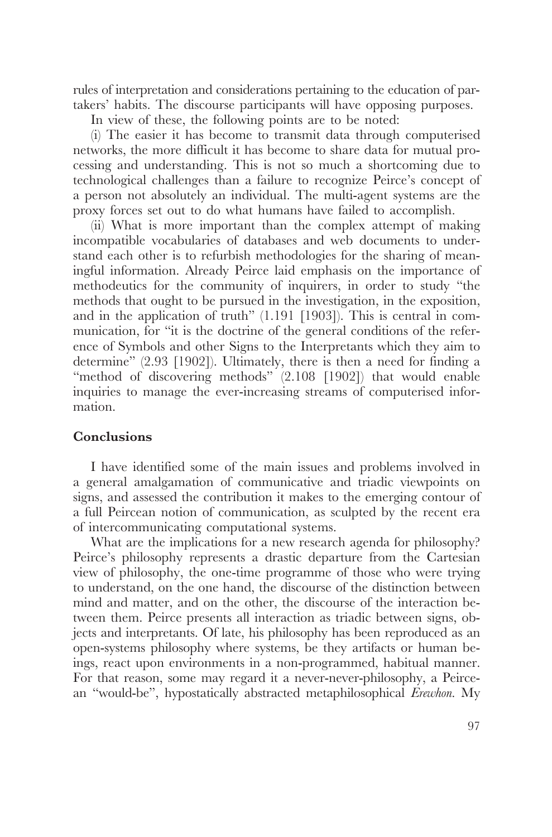rules of interpretation and considerations pertaining to the education of partakers' habits. The discourse participants will have opposing purposes.

In view of these, the following points are to be noted:

(i) The easier it has become to transmit data through computerised networks, the more difficult it has become to share data for mutual processing and understanding. This is not so much a shortcoming due to technological challenges than a failure to recognize Peirce's concept of a person not absolutely an individual. The multi-agent systems are the proxy forces set out to do what humans have failed to accomplish.

(ii) What is more important than the complex attempt of making incompatible vocabularies of databases and web documents to understand each other is to refurbish methodologies for the sharing of meaningful information. Already Peirce laid emphasis on the importance of methodeutics for the community of inquirers, in order to study "the methods that ought to be pursued in the investigation, in the exposition, and in the application of truth" (1.191 [1903]). This is central in communication, for "it is the doctrine of the general conditions of the reference of Symbols and other Signs to the Interpretants which they aim to determine" (2.93 [1902]). Ultimately, there is then a need for finding a "method of discovering methods" (2.108 [1902]) that would enable inquiries to manage the ever-increasing streams of computerised information.

## **Conclusions**

I have identified some of the main issues and problems involved in a general amalgamation of communicative and triadic viewpoints on signs, and assessed the contribution it makes to the emerging contour of a full Peircean notion of communication, as sculpted by the recent era of intercommunicating computational systems.

What are the implications for a new research agenda for philosophy? Peirce's philosophy represents a drastic departure from the Cartesian view of philosophy, the one-time programme of those who were trying to understand, on the one hand, the discourse of the distinction between mind and matter, and on the other, the discourse of the interaction between them. Peirce presents all interaction as triadic between signs, objects and interpretants. Of late, his philosophy has been reproduced as an open-systems philosophy where systems, be they artifacts or human beings, react upon environments in a non-programmed, habitual manner. For that reason, some may regard it a never-never-philosophy, a Peircean "would-be", hypostatically abstracted metaphilosophical *Erewhon*. My